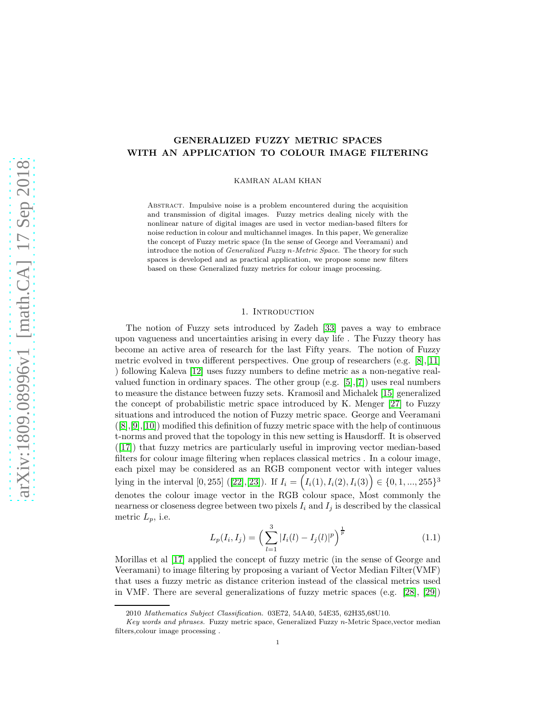# GENERALIZED FUZZY METRIC SPACES WITH AN APPLICATION TO COLOUR IMAGE FILTERING

KAMRAN ALAM KHAN

Abstract. Impulsive noise is a problem encountered during the acquisition and transmission of digital images. Fuzzy metrics dealing nicely with the nonlinear nature of digital images are used in vector median-based filters for noise reduction in colour and multichannel images. In this paper, We generalize the concept of Fuzzy metric space (In the sense of George and Veeramani) and introduce the notion of Generalized Fuzzy n-Metric Space. The theory for such spaces is developed and as practical application, we propose some new filters based on these Generalized fuzzy metrics for colour image processing.

#### 1. INTRODUCTION

The notion of Fuzzy sets introduced by Zadeh [\[33\]](#page-12-0) paves a way to embrace upon vagueness and uncertainties arising in every day life . The Fuzzy theory has become an active area of research for the last Fifty years. The notion of Fuzzy metric evolved in two different perspectives. One group of researchers (e.g. [\[8\]](#page-11-0),[\[11\]](#page-11-1) ) following Kaleva [\[12\]](#page-11-2) uses fuzzy numbers to define metric as a non-negative realvalued function in ordinary spaces. The other group (e.g.  $[5],[7]$  $[5],[7]$ ) uses real numbers to measure the distance between fuzzy sets. Kramosil and Michalek [\[15\]](#page-11-5) generalized the concept of probabilistic metric space introduced by K. Menger [\[27\]](#page-12-1) to Fuzzy situations and introduced the notion of Fuzzy metric space. George and Veeramani  $([8],[9],[10])$  $([8],[9],[10])$  $([8],[9],[10])$  $([8],[9],[10])$  $([8],[9],[10])$  $([8],[9],[10])$  $([8],[9],[10])$  modified this definition of fuzzy metric space with the help of continuous t-norms and proved that the topology in this new setting is Hausdorff. It is observed ([\[17\]](#page-11-8)) that fuzzy metrics are particularly useful in improving vector median-based filters for colour image filtering when replaces classical metrics . In a colour image, each pixel may be considered as an RGB component vector with integer values lying in the interval [0, 255] ([\[22\]](#page-12-2), [\[23\]](#page-12-3)). If  $I_i = (I_i(1), I_i(2), I_i(3)) \in \{0, 1, ..., 255\}^3$ denotes the colour image vector in the RGB colour space, Most commonly the nearness or closeness degree between two pixels  $I_i$  and  $I_j$  is described by the classical metric  $L_p$ , i.e.

$$
L_p(I_i, I_j) = \left(\sum_{l=1}^3 |I_i(l) - I_j(l)|^p\right)^{\frac{1}{p}}\tag{1.1}
$$

Morillas et al [\[17\]](#page-11-8) applied the concept of fuzzy metric (in the sense of George and Veeramani) to image filtering by proposing a variant of Vector Median Filter(VMF) that uses a fuzzy metric as distance criterion instead of the classical metrics used in VMF. There are several generalizations of fuzzy metric spaces (e.g. [\[28\]](#page-12-4), [\[29\]](#page-12-5))

<sup>2010</sup> Mathematics Subject Classification. 03E72, 54A40, 54E35, 62H35,68U10.

Key words and phrases. Fuzzy metric space, Generalized Fuzzy n-Metric Space,vector median filters,colour image processing .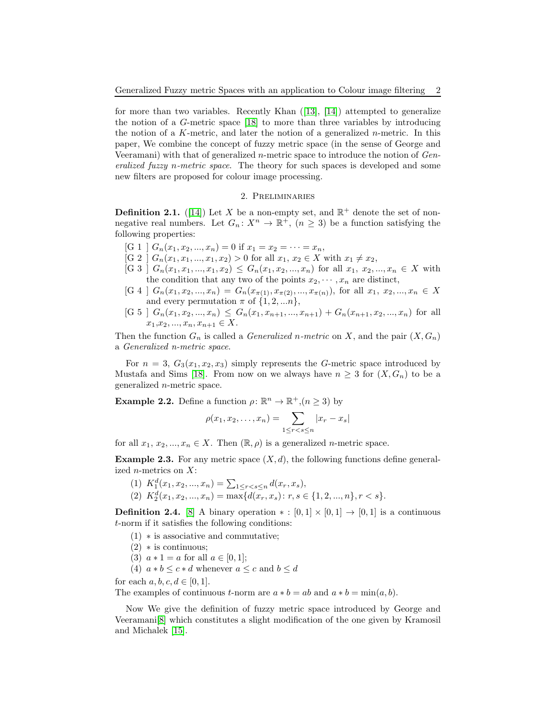for more than two variables. Recently Khan  $([13], [14])$  $([13], [14])$  $([13], [14])$  $([13], [14])$  $([13], [14])$  attempted to generalize the notion of a G-metric space [\[18\]](#page-12-6) to more than three variables by introducing the notion of a K-metric, and later the notion of a generalized  $n$ -metric. In this paper, We combine the concept of fuzzy metric space (in the sense of George and Veeramani) with that of generalized n-metric space to introduce the notion of Generalized fuzzy n-metric space. The theory for such spaces is developed and some new filters are proposed for colour image processing.

### 2. Preliminaries

**Definition 2.1.** ([\[14\]](#page-11-10)) Let X be a non-empty set, and  $\mathbb{R}^+$  denote the set of nonnegative real numbers. Let  $G_n: X^n \to \mathbb{R}^+$ ,  $(n \geq 3)$  be a function satisfying the following properties:

- [G 1 ]  $G_n(x_1, x_2, ..., x_n) = 0$  if  $x_1 = x_2 = ... = x_n$ ,
- [G 2 ]  $G_n(x_1, x_1, ..., x_1, x_2) > 0$  for all  $x_1, x_2 \in X$  with  $x_1 \neq x_2$ ,
- $[G 3]$   $G_n(x_1, x_1, ..., x_1, x_2) \leq G_n(x_1, x_2, ..., x_n)$  for all  $x_1, x_2, ..., x_n \in X$  with the condition that any two of the points  $x_2, \dots, x_n$  are distinct,
- $[G 4]$   $G_n(x_1, x_2, ..., x_n) = G_n(x_{\pi(1)}, x_{\pi(2)}, ..., x_{\pi(n)})$ , for all  $x_1, x_2, ..., x_n \in X$ and every permutation  $\pi$  of  $\{1, 2, ... n\}$ ,
- $[G 5]$   $G_n(x_1, x_2, ..., x_n) \leq G_n(x_1, x_{n+1}, ..., x_{n+1}) + G_n(x_{n+1}, x_2, ..., x_n)$  for all  $x_1, x_2, ..., x_n, x_{n+1} \in X.$

Then the function  $G_n$  is called a *Generalized n-metric* on X, and the pair  $(X, G_n)$ a Generalized n-metric space.

For  $n = 3$ ,  $G_3(x_1, x_2, x_3)$  simply represents the G-metric space introduced by Mustafa and Sims [\[18\]](#page-12-6). From now on we always have  $n \geq 3$  for  $(X, G_n)$  to be a generalized n-metric space.

**Example 2.2.** Define a function  $\rho: \mathbb{R}^n \to \mathbb{R}^+, (n \geq 3)$  by

$$
\rho(x_1, x_2, \dots, x_n) = \sum_{1 \le r < s \le n} |x_r - x_s|
$$

for all  $x_1, x_2, ..., x_n \in X$ . Then  $(\mathbb{R}, \rho)$  is a generalized *n*-metric space.

**Example 2.3.** For any metric space  $(X, d)$ , the following functions define generalized n-metrics on X:

(1)  $K_1^d(x_1, x_2, ..., x_n) = \sum_{1 \leq r < s \leq n} d(x_r, x_s),$ (2)  $K_2^d(x_1, x_2, ..., x_n) = \max\{d(x_r, x_s): r, s \in \{1, 2, ..., n\}, r < s\}.$ 

**Definition 2.4.** [\[8\]](#page-11-0) A binary operation  $* : [0,1] \times [0,1] \rightarrow [0,1]$  is a continuous t-norm if it satisfies the following conditions:

- (1) ∗ is associative and commutative;
- $(2)$   $\ast$  is continuous;
- (3)  $a * 1 = a$  for all  $a \in [0, 1]$ ;
- (4)  $a * b \leq c * d$  whenever  $a \leq c$  and  $b \leq d$

for each  $a, b, c, d \in [0, 1]$ .

The examples of continuous t-norm are  $a * b = ab$  and  $a * b = min(a, b)$ .

Now We give the definition of fuzzy metric space introduced by George and Veeramani[\[8\]](#page-11-0) which constitutes a slight modification of the one given by Kramosil and Michalek [\[15\]](#page-11-5).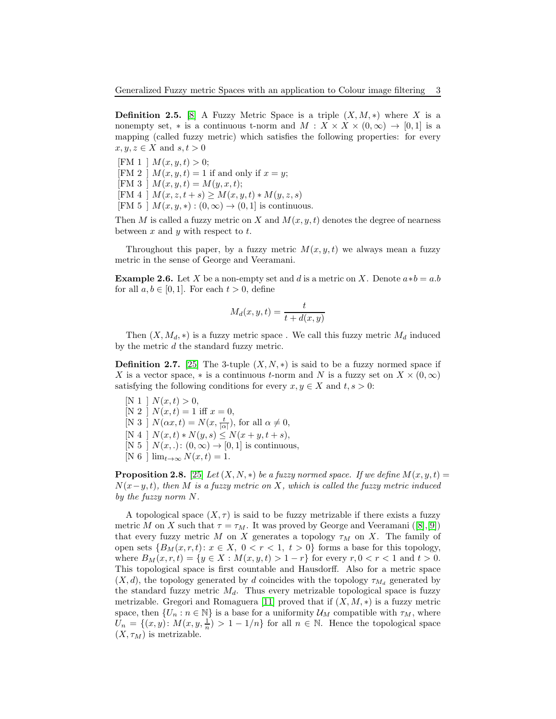<span id="page-2-0"></span>**Definition 2.5.** [\[8\]](#page-11-0) A Fuzzy Metric Space is a triple  $(X, M, *)$  where X is a nonempty set, \* is a continuous t-norm and  $M: X \times X \times (0, \infty) \to [0, 1]$  is a mapping (called fuzzy metric) which satisfies the following properties: for every  $x, y, z \in X$  and  $s, t > 0$ 

[FM 1 ]  $M(x, y, t) > 0$ ; [FM 2 ]  $M(x, y, t) = 1$  if and only if  $x = y$ ; [FM 3 ]  $M(x, y, t) = M(y, x, t);$  $[FM 4 ] M(x, z, t + s) \geq M(x, y, t) * M(y, z, s)$ [FM 5 ]  $M(x, y, *) : (0, \infty) \rightarrow (0, 1]$  is continuous.

Then M is called a fuzzy metric on X and  $M(x, y, t)$  denotes the degree of nearness between  $x$  and  $y$  with respect to  $t$ .

Throughout this paper, by a fuzzy metric  $M(x, y, t)$  we always mean a fuzzy metric in the sense of George and Veeramani.

**Example 2.6.** Let X be a non-empty set and d is a metric on X. Denote  $a*b = a.b$ for all  $a, b \in [0, 1]$ . For each  $t > 0$ , define

$$
M_d(x, y, t) = \frac{t}{t + d(x, y)}
$$

Then  $(X, M_d, *)$  is a fuzzy metric space. We call this fuzzy metric  $M_d$  induced by the metric d the standard fuzzy metric.

**Definition 2.7.** [\[25\]](#page-12-7) The 3-tuple  $(X, N, *)$  is said to be a fuzzy normed space if X is a vector space, \* is a continuous t-norm and N is a fuzzy set on  $X \times (0, \infty)$ satisfying the following conditions for every  $x, y \in X$  and  $t, s > 0$ :

[N 1 ]  $N(x,t) > 0$ , [N 2 ]  $N(x,t) = 1$  iff  $x = 0$ , [N 3 ]  $N(\alpha x, t) = N(x, \frac{t}{|\alpha|})$ , for all  $\alpha \neq 0$ ,  $[N\ 4\ ]\ N(x,t)*N(y,s)\leq N(x+y,t+s),$ [N 5 ]  $N(x,.)$ :  $(0,\infty) \rightarrow [0,1]$  is continuous,  $[N 6]$   $\lim_{t\to\infty} N(x,t) = 1.$ 

<span id="page-2-1"></span>**Proposition 2.8.** [\[25\]](#page-12-7) Let  $(X, N, *)$  be a fuzzy normed space. If we define  $M(x, y, t) =$  $N(x-y,t)$ , then M is a fuzzy metric on X, which is called the fuzzy metric induced by the fuzzy norm N.

A topological space  $(X, \tau)$  is said to be fuzzy metrizable if there exists a fuzzy metric M on X such that  $\tau = \tau_M$ . It was proved by George and Veeramani ([\[8\]](#page-11-0),[\[9\]](#page-11-6)) that every fuzzy metric M on X generates a topology  $\tau_M$  on X. The family of open sets  $\{B_M(x, r, t): x \in X, 0 < r < 1, t > 0\}$  forms a base for this topology, where  $B_M(x, r, t) = \{y \in X : M(x, y, t) > 1 - r\}$  for every  $r, 0 < r < 1$  and  $t > 0$ . This topological space is first countable and Hausdorff. Also for a metric space  $(X, d)$ , the topology generated by d coincides with the topology  $\tau_{M_d}$  generated by the standard fuzzy metric  $M_d$ . Thus every metrizable topological space is fuzzy metrizable. Gregori and Romaguera [\[11\]](#page-11-1) proved that if  $(X, M, *)$  is a fuzzy metric space, then  $\{U_n : n \in \mathbb{N}\}\$ is a base for a uniformity  $\mathcal{U}_M$  compatible with  $\tau_M$ , where  $U_n = \{(x, y): M(x, y, \frac{1}{n}) > 1 - 1/n\}$  for all  $n \in \mathbb{N}$ . Hence the topological space  $(X, \tau_M)$  is metrizable.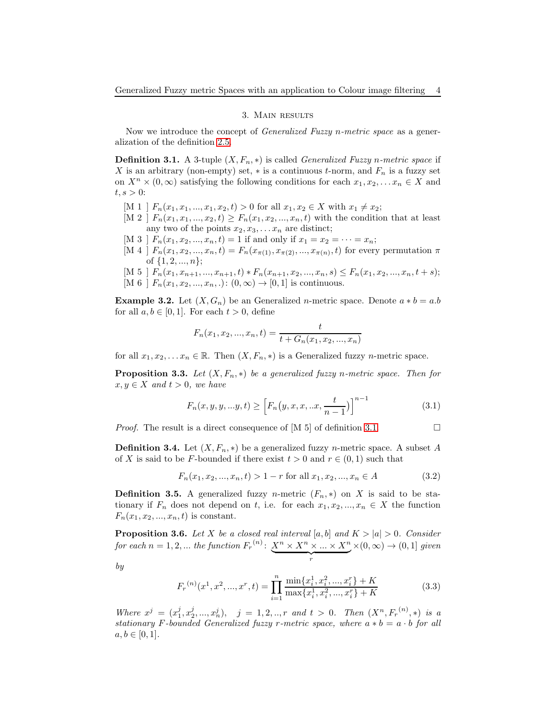## 3. Main results

Now we introduce the concept of *Generalized Fuzzy n-metric space* as a generalization of the definition [2.5.](#page-2-0)

<span id="page-3-0"></span>**Definition 3.1.** A 3-tuple  $(X, F_n, *)$  is called *Generalized Fuzzy n-metric space* if X is an arbitrary (non-empty) set,  $*$  is a continuous t-norm, and  $F_n$  is a fuzzy set on  $X^n \times (0, \infty)$  satisfying the following conditions for each  $x_1, x_2, \ldots, x_n \in X$  and  $t, s > 0$ :

- [M 1 ]  $F_n(x_1, x_1, ..., x_1, x_2, t) > 0$  for all  $x_1, x_2 \in X$  with  $x_1 \neq x_2$ ;
- $[M 2]$   $F_n(x_1, x_1, ..., x_2, t) \ge F_n(x_1, x_2, ..., x_n, t)$  with the condition that at least any two of the points  $x_2, x_3, \ldots, x_n$  are distinct;
- [M 3 ]  $F_n(x_1, x_2, ..., x_n, t) = 1$  if and only if  $x_1 = x_2 = \cdots = x_n$ ;
- [M 4 ]  $F_n(x_1, x_2, ..., x_n, t) = F_n(x_{\pi(1)}, x_{\pi(2)}, ..., x_{\pi(n)}, t)$  for every permutation  $\pi$ of  $\{1, 2, ..., n\};$
- [M 5 ]  $F_n(x_1, x_{n+1}, ..., x_{n+1}, t) * F_n(x_{n+1}, x_2, ..., x_n, s) \le F_n(x_1, x_2, ..., x_n, t + s);$ [M 6 ]  $F_n(x_1, x_2, ..., x_n, ...)$ :  $(0, \infty) \to [0, 1]$  is continuous.

**Example 3.2.** Let  $(X, G_n)$  be an Generalized *n*-metric space. Denote  $a * b = a.b$ for all  $a, b \in [0, 1]$ . For each  $t > 0$ , define

$$
F_n(x_1, x_2, ..., x_n, t) = \frac{t}{t + G_n(x_1, x_2, ..., x_n)}
$$

for all  $x_1, x_2, \ldots x_n \in \mathbb{R}$ . Then  $(X, F_n, *)$  is a Generalized fuzzy *n*-metric space.

<span id="page-3-1"></span>**Proposition 3.3.** Let  $(X, F_n, *)$  be a generalized fuzzy n-metric space. Then for  $x, y \in X$  and  $t > 0$ , we have

$$
F_n(x, y, y, ...y, t) \ge \left[ F_n(y, x, x, ... x, \frac{t}{n-1}) \right]^{n-1}
$$
\n(3.1)

*Proof.* The result is a direct consequence of [M 5] of definition [3.1.](#page-3-0)  $\Box$ 

**Definition 3.4.** Let  $(X, F_n, *)$  be a generalized fuzzy *n*-metric space. A subset A of X is said to be F-bounded if there exist  $t > 0$  and  $r \in (0, 1)$  such that

$$
F_n(x_1, x_2, ..., x_n, t) > 1 - r \text{ for all } x_1, x_2, ..., x_n \in A
$$
\n(3.2)

**Definition 3.5.** A generalized fuzzy *n*-metric  $(F_n, *)$  on X is said to be stationary if  $F_n$  does not depend on t, i.e. for each  $x_1, x_2, ..., x_n \in X$  the function  $F_n(x_1, x_2, ..., x_n, t)$  is constant.

<span id="page-3-2"></span>**Proposition 3.6.** Let X be a closed real interval [a, b] and  $K > |a| > 0$ . Consider for each  $n = 1, 2, ...$  the function  $F_r^{(n)}$ :  $X^n \times X^n \times ... \times X^n$  $\overbrace{r}$  $\times(0,\infty)\rightarrow(0,1]$  given

by

$$
F_r^{(n)}(x^1, x^2, \dots, x^r, t) = \prod_{i=1}^n \frac{\min\{x_i^1, x_i^2, \dots, x_i^r\} + K}{\max\{x_i^1, x_i^2, \dots, x_i^r\} + K}
$$
(3.3)

Where  $x^j = (x_1^j, x_2^j, ..., x_n^j)$ ,  $j = 1, 2, ..., r$  and  $t > 0$ . Then  $(X^n, F_r^{(n)}, *)$  is a stationary F-bounded Generalized fuzzy r-metric space, where  $a * b = a \cdot b$  for all  $a, b \in [0, 1].$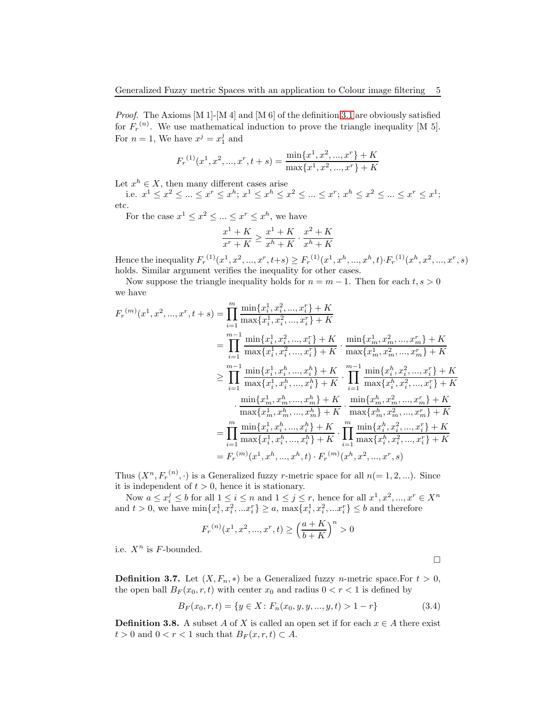Proof. The Axioms [M 1]-[M 4] and [M 6] of the definition [3.1](#page-3-0) are obviously satisfied for  $F_r^{(n)}$ . We use mathematical induction to prove the triangle inequality [M 5]. For  $n = 1$ , We have  $x^j = x_1^j$  and

$$
F_r^{(1)}(x^1, x^2, ..., x^r, t+s) = \frac{\min\{x^1, x^2, ..., x^r\} + K}{\max\{x^1, x^2, ..., x^r\} + K}
$$

Let  $x^h \in X$ , then many different cases arise

i.e.  $x^1 \le x^2 \le ... \le x^r \le x^h$ ;  $x^1 \le x^h \le x^2 \le ... \le x^r$ ;  $x^h \le x^2 \le ... \le x^r \le x^1$ ; etc.

For the case  $x^1 \le x^2 \le ... \le x^r \le x^h$ , we have

$$
\frac{x^1+K}{x^r+K} \ge \frac{x^1+K}{x^h+K} \cdot \frac{x^2+K}{x^h+K}
$$

Hence the inequality  $F_r^{(1)}(x^1, x^2, ..., x^r, t+s) \geq F_r^{(1)}(x^1, x^h, ..., x^h, t) \cdot F_r^{(1)}(x^h, x^2, ..., x^r, s)$ holds. Similar argument verifies the inequality for other cases.

Now suppose the triangle inequality holds for  $n = m - 1$ . Then for each  $t, s > 0$ we have

$$
F_r^{(m)}(x^1, x^2, ..., x^r, t + s) = \prod_{i=1}^m \frac{\min\{x_i^1, x_i^2, ..., x_i^r\} + K}{\max\{x_i^1, x_i^2, ..., x_i^r\} + K} = \prod_{i=1}^{m-1} \frac{\min\{x_i^1, x_i^2, ..., x_i^r\} + K}{\max\{x_i^1, x_i^2, ..., x_i^r\} + K} \cdot \frac{\min\{x_m^1, x_m^2, ..., x_m^r\} + K}{\max\{x_m^1, x_m^2, ..., x_m^r\} + K} \geq \prod_{i=1}^{m-1} \frac{\min\{x_i^1, x_i^h, ..., x_i^h\} + K}{\max\{x_i^1, x_i^h, ..., x_i^h\} + K} \cdot \prod_{i=1}^{m-1} \frac{\min\{x_i^h, x_i^2, ..., x_i^r\} + K}{\max\{x_i^h, x_i^2, ..., x_i^r\} + K} \cdot \frac{\min\{x_m^1, x_m^h, ..., x_m^h\} + K}{\max\{x_m^1, x_m^h, ..., x_m^h\} + K} \cdot \frac{\min\{x_m^h, x_m^2, ..., x_m^r\} + K}{\max\{x_m^h, x_m^2, ..., x_m^r\} + K} = \prod_{i=1}^m \frac{\min\{x_i^1, x_i^h, ..., x_i^h\} + K}{\max\{x_i^1, x_i^h, ..., x_i^h\} + K} \cdot \prod_{i=1}^m \frac{\min\{x_i^h, x_i^2, ..., x_i^r\} + K}{\max\{x_i^h, x_i^2, ..., x_i^r\} + K} = F_r^{(m)}(x^1, x^h, ..., x^h, t) \cdot F_r^{(m)}(x^h, x^2, ..., x^r, s)
$$

Thus  $(X^n, F_r^{(n)}, \cdot)$  is a Generalized fuzzy *r*-metric space for all  $n (= 1, 2, ...)$ . Since it is independent of  $t > 0$ , hence it is stationary.

Now  $a \leq x_i^j \leq b$  for all  $1 \leq i \leq n$  and  $1 \leq j \leq r$ , hence for all  $x^1, x^2, ..., x^r \in X^n$ and  $t > 0$ , we have  $\min\{x_i^1, x_i^2, ... x_i^r\} \ge a$ ,  $\max\{x_i^1, x_i^2, ... x_i^r\} \le b$  and therefore

$$
F_r^{(n)}(x^1, x^2, ..., x^r, t) \ge \left(\frac{a+K}{b+K}\right)^n > 0
$$

i.e.  $X^n$  is F-bounded.

**Definition 3.7.** Let  $(X, F_n, *)$  be a Generalized fuzzy *n*-metric space. For  $t > 0$ , the open ball  $B_F(x_0, r, t)$  with center  $x_0$  and radius  $0 < r < 1$  is defined by

$$
B_F(x_0, r, t) = \{ y \in X : F_n(x_0, y, y, ..., y, t) > 1 - r \}
$$
\n(3.4)

 $\Box$ 

**Definition 3.8.** A subset A of X is called an open set if for each  $x \in A$  there exist  $t > 0$  and  $0 < r < 1$  such that  $B_F(x, r, t) \subset A$ .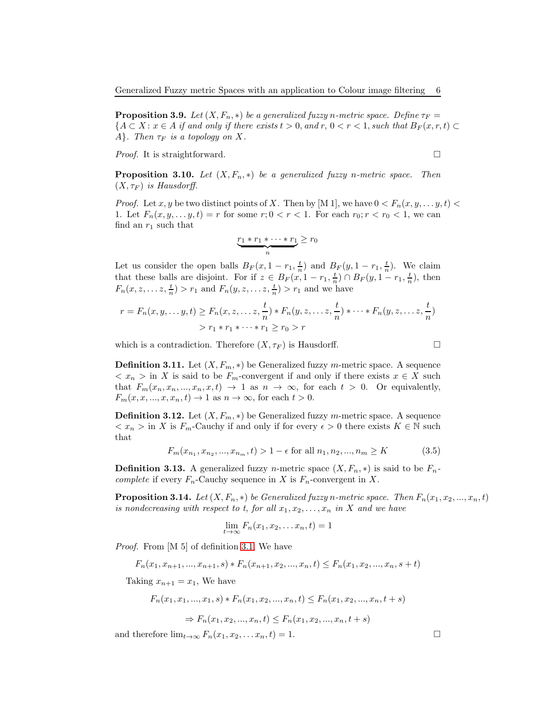**Proposition 3.9.** Let  $(X, F_n, *)$  be a generalized fuzzy n-metric space. Define  $\tau_F =$  ${A \subset X : x \in A \text{ if and only if there exists } t > 0, \text{ and } r, 0 < r < 1, \text{ such that } B_F(x, r, t) \subset$ A}. Then  $\tau_F$  is a topology on X.

*Proof.* It is straightforward.  $\square$ 

**Proposition 3.10.** Let  $(X, F_n, *)$  be a generalized fuzzy n-metric space. Then  $(X, \tau_F)$  is Hausdorff.

*Proof.* Let x, y be two distinct points of X. Then by [M 1], we have  $0 < F_n(x, y, \ldots, y, t)$ 1. Let  $F_n(x, y, \ldots, y, t) = r$  for some  $r; 0 < r < 1$ . For each  $r_0; r < r_0 < 1$ , we can find an  $r_1$  such that

$$
\underbrace{r_1 * r_1 * \cdots * r_1}_{n} \geq r_0
$$

Let us consider the open balls  $B_F(x, 1-r_1, \frac{t}{n})$  and  $B_F(y, 1-r_1, \frac{t}{n})$ . We claim that these balls are disjoint. For if  $z \in B_F(x, 1-r_1, \frac{t}{n}) \cap B_F(y, 1-r_1, \frac{t}{n})$ , then  $F_n(x, z, \ldots z, \frac{t}{n}) > r_1$  and  $F_n(y, z, \ldots z, \frac{t}{n}) > r_1$  and we have

$$
r = F_n(x, y, \dots, y, t) \ge F_n(x, z, \dots, z, \frac{t}{n}) * F_n(y, z, \dots, z, \frac{t}{n}) * \dots * F_n(y, z, \dots, z, \frac{t}{n})
$$
  
>  $r_1 * r_1 * \dots * r_1 \ge r_0 > r$ 

which is a contradiction. Therefore  $(X, \tau_F)$  is Hausdorff.

$$
\Box
$$

**Definition 3.11.** Let  $(X, F_m, *)$  be Generalized fuzzy m-metric space. A sequence  $\langle x_n \rangle$  in X is said to be  $F_m$ -convergent if and only if there exists  $x \in X$  such that  $F_m(x_n, x_n, ..., x_n, x, t) \rightarrow 1$  as  $n \rightarrow \infty$ , for each  $t > 0$ . Or equivalently,  $F_m(x, x, \ldots, x, x_n, t) \rightarrow 1$  as  $n \rightarrow \infty$ , for each  $t > 0$ .

**Definition 3.12.** Let  $(X, F_m, *)$  be Generalized fuzzy m-metric space. A sequence  $\langle x_n \rangle$  in X is  $F_m$ -Cauchy if and only if for every  $\epsilon > 0$  there exists  $K \in \mathbb{N}$  such that

$$
F_m(x_{n_1}, x_{n_2}, ..., x_{n_m}, t) > 1 - \epsilon \text{ for all } n_1, n_2, ..., n_m \ge K \tag{3.5}
$$

**Definition 3.13.** A generalized fuzzy *n*-metric space  $(X, F_n, *)$  is said to be  $F_n$ complete if every  $F_n$ -Cauchy sequence in X is  $F_n$ -convergent in X.

**Proposition 3.14.** Let  $(X, F_n, *)$  be Generalized fuzzy n-metric space. Then  $F_n(x_1, x_2, ..., x_n, t)$ is nondecreasing with respect to t, for all  $x_1, x_2, \ldots, x_n$  in X and we have

$$
\lim_{t \to \infty} F_n(x_1, x_2, \dots x_n, t) = 1
$$

Proof. From [M 5] of definition [3.1,](#page-3-0) We have

$$
F_n(x_1, x_{n+1}, ..., x_{n+1}, s) * F_n(x_{n+1}, x_2, ..., x_n, t) \le F_n(x_1, x_2, ..., x_n, s+t)
$$

Taking  $x_{n+1} = x_1$ , We have

$$
F_n(x_1, x_1, ..., x_1, s) * F_n(x_1, x_2, ..., x_n, t) \le F_n(x_1, x_2, ..., x_n, t + s)
$$
  

$$
\Rightarrow F_n(x_1, x_2, ..., x_n, t) \le F_n(x_1, x_2, ..., x_n, t + s)
$$

and therefore  $\lim_{t\to\infty} F_n(x_1, x_2, \ldots x_n, t) = 1.$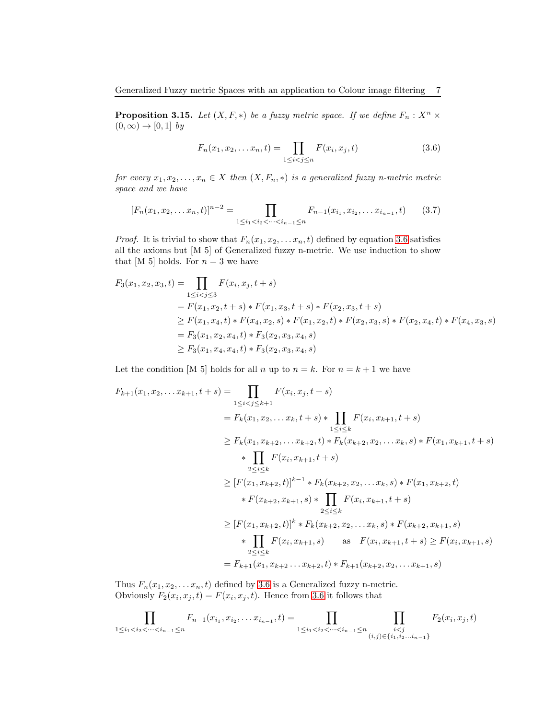<span id="page-6-1"></span>**Proposition 3.15.** Let  $(X, F, *)$  be a fuzzy metric space. If we define  $F_n : X^n \times Y^n$  $(0, \infty) \rightarrow [0, 1]$  by

<span id="page-6-0"></span>
$$
F_n(x_1, x_2, \dots x_n, t) = \prod_{1 \le i < j \le n} F(x_i, x_j, t) \tag{3.6}
$$

for every  $x_1, x_2, \ldots, x_n \in X$  then  $(X, F_n, *)$  is a generalized fuzzy n-metric metric space and we have

$$
[F_n(x_1, x_2, \dots x_n, t)]^{n-2} = \prod_{1 \le i_1 < i_2 < \dots < i_{n-1} \le n} F_{n-1}(x_{i_1}, x_{i_2}, \dots x_{i_{n-1}}, t)
$$
(3.7)

*Proof.* It is trivial to show that  $F_n(x_1, x_2, \ldots, x_n, t)$  defined by equation [3.6](#page-6-0) satisfies all the axioms but [M 5] of Generalized fuzzy n-metric. We use induction to show that [M 5] holds. For  $n = 3$  we have

$$
F_3(x_1, x_2, x_3, t) = \prod_{1 \le i < j \le 3} F(x_i, x_j, t + s)
$$
  
=  $F(x_1, x_2, t + s) * F(x_1, x_3, t + s) * F(x_2, x_3, t + s)$   
 $\ge F(x_1, x_4, t) * F(x_4, x_2, s) * F(x_1, x_2, t) * F(x_2, x_3, s) * F(x_2, x_4, t) * F(x_4, x_3, s)$   
=  $F_3(x_1, x_2, x_4, t) * F_3(x_2, x_3, x_4, s)$   
 $\ge F_3(x_1, x_4, x_4, t) * F_3(x_2, x_3, x_4, s)$ 

Let the condition [M 5] holds for all n up to  $n = k$ . For  $n = k + 1$  we have

$$
F_{k+1}(x_1, x_2, \ldots x_{k+1}, t+s) = \prod_{1 \le i < j \le k+1} F(x_i, x_j, t+s) \n= F_k(x_1, x_2, \ldots x_k, t+s) * \prod_{1 \le i \le k} F(x_i, x_{k+1}, t+s) \n\ge F_k(x_1, x_{k+2}, \ldots x_{k+2}, t) * F_k(x_{k+2}, x_2, \ldots x_k, s) * F(x_1, x_{k+1}, t+s) \n\qquad * \prod_{2 \le i \le k} F(x_i, x_{k+1}, t+s) \n\ge [F(x_1, x_{k+2}, t)]^{k-1} * F_k(x_{k+2}, x_2, \ldots x_k, s) * F(x_1, x_{k+2}, t) \n\qquad * F(x_{k+2}, x_{k+1}, s) * \prod_{2 \le i \le k} F(x_i, x_{k+1}, t+s) \n\ge [F(x_1, x_{k+2}, t)]^k * F_k(x_{k+2}, x_2, \ldots x_k, s) * F(x_{k+2}, x_{k+1}, s) \n\qquad * \prod_{2 \le i \le k} F(x_i, x_{k+1}, s) \quad \text{as } F(x_i, x_{k+1}, t+s) \ge F(x_i, x_{k+1}, s) \n= F_{k+1}(x_1, x_{k+2} \ldots x_{k+2}, t) * F_{k+1}(x_{k+2}, x_2, \ldots x_{k+1}, s)
$$

Thus  $F_n(x_1, x_2, \ldots, x_n, t)$  defined by [3.6](#page-6-0) is a Generalized fuzzy n-metric. Obviously  $F_2(x_i, x_j, t) = F(x_i, x_j, t)$ . Hence from [3.6](#page-6-0) it follows that

$$
\prod_{1 \leq i_1 < i_2 < \cdots < i_{n-1} \leq n} F_{n-1}(x_{i_1}, x_{i_2}, \ldots, x_{i_{n-1}}, t) = \prod_{1 \leq i_1 < i_2 < \cdots < i_{n-1} \leq n} \prod_{\substack{i < j \\ (i,j) \in \{i_1, i_2, \ldots i_{n-1}\}}} F_2(x_i, x_j, t)
$$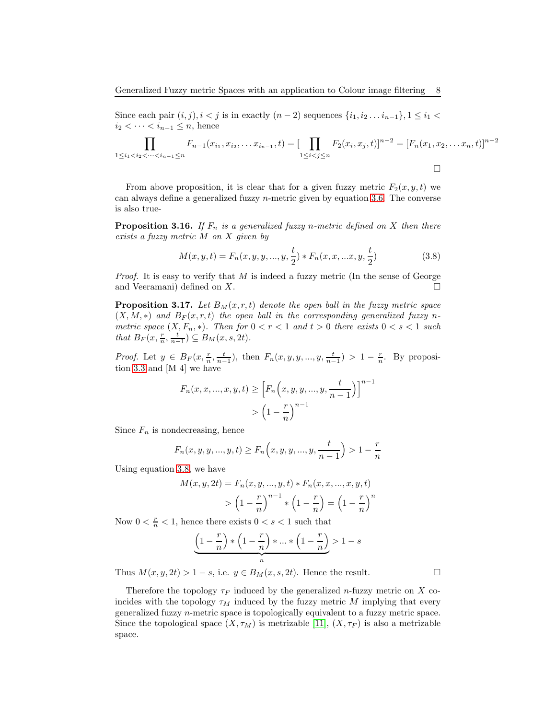Since each pair  $(i, j), i < j$  is in exactly  $(n-2)$  sequences  $\{i_1, i_2, \ldots i_{n-1}\}, 1 \leq i_1 < j_2$  $i_2 < \cdots < i_{n-1} \leq n$ , hence

$$
\prod_{1 \leq i_1 < i_2 < \dots < i_{n-1} \leq n} F_{n-1}(x_{i_1}, x_{i_2}, \dots x_{i_{n-1}}, t) = [\prod_{1 \leq i < j \leq n} F_2(x_i, x_j, t)]^{n-2} = [F_n(x_1, x_2, \dots x_n, t)]^{n-2}
$$

From above proposition, it is clear that for a given fuzzy metric  $F_2(x, y, t)$  we can always define a generalized fuzzy  $n$ -metric given by equation [3.6.](#page-6-0) The converse is also true-

**Proposition 3.16.** If  $F_n$  is a generalized fuzzy n-metric defined on X then there exists a fuzzy metric M on X given by

<span id="page-7-0"></span>
$$
M(x, y, t) = F_n(x, y, y, ..., y, \frac{t}{2}) * F_n(x, x, ...x, y, \frac{t}{2})
$$
\n(3.8)

*Proof.* It is easy to verify that  $M$  is indeed a fuzzy metric (In the sense of George and Veeramani) defined on X.

**Proposition 3.17.** Let  $B_M(x, r, t)$  denote the open ball in the fuzzy metric space  $(X, M, *)$  and  $B_F(x, r, t)$  the open ball in the corresponding generalized fuzzy nmetric space  $(X, F_n, *)$ . Then for  $0 < r < 1$  and  $t > 0$  there exists  $0 < s < 1$  such that  $B_F(x, \frac{r}{n}, \frac{t}{n-1}) \subseteq B_M(x, s, 2t)$ .

*Proof.* Let  $y \in B_F(x, \frac{r}{n}, \frac{t}{n-1})$ , then  $F_n(x, y, y, ..., y, \frac{t}{n-1}) > 1 - \frac{r}{n}$ . By proposition [3.3](#page-3-1) and [M 4] we have

$$
F_n(x, x, ..., x, y, t) \ge \left[ F_n\left(x, y, y, ..., y, \frac{t}{n-1}\right) \right]^{n-1} \\
> \left(1 - \frac{r}{n}\right)^{n-1}
$$

Since  $F_n$  is nondecreasing, hence

$$
F_n(x, y, y, ..., y, t) \ge F_n(x, y, y, ..., y, \frac{t}{n-1}) > 1 - \frac{r}{n}
$$

Using equation [3.8,](#page-7-0) we have

$$
M(x, y, 2t) = F_n(x, y, ..., y, t) * F_n(x, x, ..., x, y, t)
$$
  
>  $\left(1 - \frac{r}{n}\right)^{n-1} * \left(1 - \frac{r}{n}\right) = \left(1 - \frac{r}{n}\right)^n$ 

Now  $0 < \frac{r}{n} < 1$ , hence there exists  $0 < s < 1$  such that

$$
\underbrace{\left(1-\frac{r}{n}\right) * \left(1-\frac{r}{n}\right) * \ldots * \left(1-\frac{r}{n}\right)}_{n} > 1-s
$$

Thus  $M(x, y, 2t) > 1 - s$ , i.e.  $y \in B_M(x, s, 2t)$ . Hence the result.

Therefore the topology  $\tau_F$  induced by the generalized *n*-fuzzy metric on X coincides with the topology  $\tau_M$  induced by the fuzzy metric M implying that every generalized fuzzy n-metric space is topologically equivalent to a fuzzy metric space. Since the topological space  $(X, \tau_M)$  is metrizable [\[11\]](#page-11-1),  $(X, \tau_F)$  is also a metrizable space.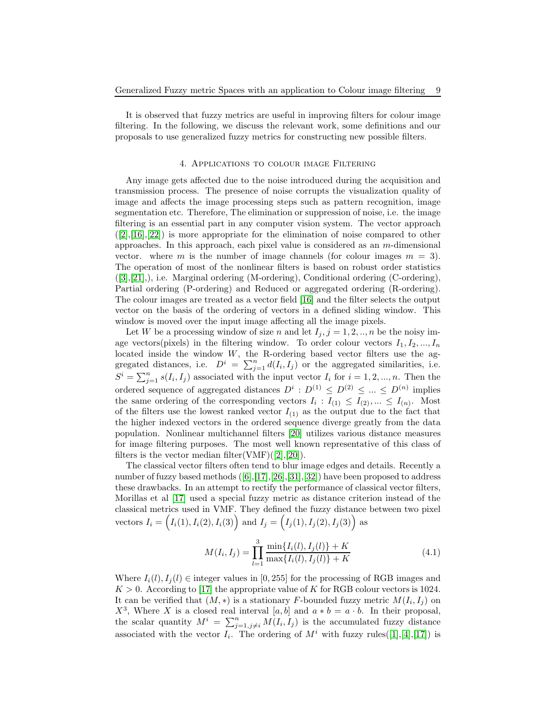It is observed that fuzzy metrics are useful in improving filters for colour image filtering. In the following, we discuss the relevant work, some definitions and our proposals to use generalized fuzzy metrics for constructing new possible filters.

### 4. Applications to colour image Filtering

Any image gets affected due to the noise introduced during the acquisition and transmission process. The presence of noise corrupts the visualization quality of image and affects the image processing steps such as pattern recognition, image segmentation etc. Therefore, The elimination or suppression of noise, i.e. the image filtering is an essential part in any computer vision system. The vector approach  $([2],[16],[22])$  $([2],[16],[22])$  $([2],[16],[22])$  $([2],[16],[22])$  $([2],[16],[22])$  $([2],[16],[22])$  $([2],[16],[22])$  is more appropriate for the elimination of noise compared to other approaches. In this approach, each pixel value is considered as an  $m$ -dimensional vector. where m is the number of image channels (for colour images  $m = 3$ ). The operation of most of the nonlinear filters is based on robust order statistics ([\[3\]](#page-11-13),[\[21\]](#page-12-8),), i.e. Marginal ordering (M-ordering), Conditional ordering (C-ordering), Partial ordering (P-ordering) and Reduced or aggregated ordering (R-ordering). The colour images are treated as a vector field [\[16\]](#page-11-12) and the filter selects the output vector on the basis of the ordering of vectors in a defined sliding window. This window is moved over the input image affecting all the image pixels.

Let W be a processing window of size n and let  $I_j$ ,  $j = 1, 2, \ldots, n$  be the noisy image vectors(pixels) in the filtering window. To order colour vectors  $I_1, I_2, ..., I_n$ located inside the window W, the R-ordering based vector filters use the aggregated distances, i.e.  $D^i = \sum_{j=1}^n d(I_i, I_j)$  or the aggregated similarities, i.e.  $S^i = \sum_{j=1}^n s(I_i, I_j)$  associated with the input vector  $I_i$  for  $i = 1, 2, ..., n$ . Then the ordered sequence of aggregated distances  $D^i: D^{(1)} \leq D^{(2)} \leq ... \leq D^{(n)}$  implies the same ordering of the corresponding vectors  $I_i: I_{(1)} \leq I_{(2)}, ... \leq I_{(n)}$ . Most of the filters use the lowest ranked vector  $I_{(1)}$  as the output due to the fact that the higher indexed vectors in the ordered sequence diverge greatly from the data population. Nonlinear multichannel filters [\[20\]](#page-12-9) utilizes various distance measures for image filtering purposes. The most well known representative of this class of filters is the vector median filter(VMF) $([2],[20])$  $([2],[20])$  $([2],[20])$  $([2],[20])$  $([2],[20])$ .

The classical vector filters often tend to blur image edges and details. Recently a number of fuzzy based methods  $([6], [17], [26], [31], [32])$  $([6], [17], [26], [31], [32])$  $([6], [17], [26], [31], [32])$  $([6], [17], [26], [31], [32])$  $([6], [17], [26], [31], [32])$  $([6], [17], [26], [31], [32])$  $([6], [17], [26], [31], [32])$  $([6], [17], [26], [31], [32])$  $([6], [17], [26], [31], [32])$  $([6], [17], [26], [31], [32])$  $([6], [17], [26], [31], [32])$  have been proposed to address these drawbacks. In an attempt to rectify the performance of classical vector filters, Morillas et al [\[17\]](#page-11-8) used a special fuzzy metric as distance criterion instead of the classical metrics used in VMF. They defined the fuzzy distance between two pixel vectors  $I_i = (I_i(1), I_i(2), I_i(3))$  and  $I_j = (I_j(1), I_j(2), I_j(3))$  as

$$
M(I_i, I_j) = \prod_{l=1}^{3} \frac{\min\{I_i(l), I_j(l)\} + K}{\max\{I_i(l), I_j(l)\} + K}
$$
(4.1)

Where  $I_i(l), I_j(l) \in$  integer values in [0, 255] for the processing of RGB images and  $K > 0$ . According to [\[17\]](#page-11-8) the appropriate value of K for RGB colour vectors is 1024. It can be verified that  $(M, *)$  is a stationary F-bounded fuzzy metric  $M(I_i, I_j)$  on  $X^3$ , Where X is a closed real interval [a, b] and  $a * b = a \cdot b$ . In their proposal, the scalar quantity  $M^i = \sum_{j=1,j\neq i}^n M(I_i,I_j)$  is the accumulated fuzzy distance associated with the vector  $I_i$ . The ordering of  $M^i$  with fuzzy rules([\[1\]](#page-11-15),[\[4\]](#page-11-16),[\[17\]](#page-11-8)) is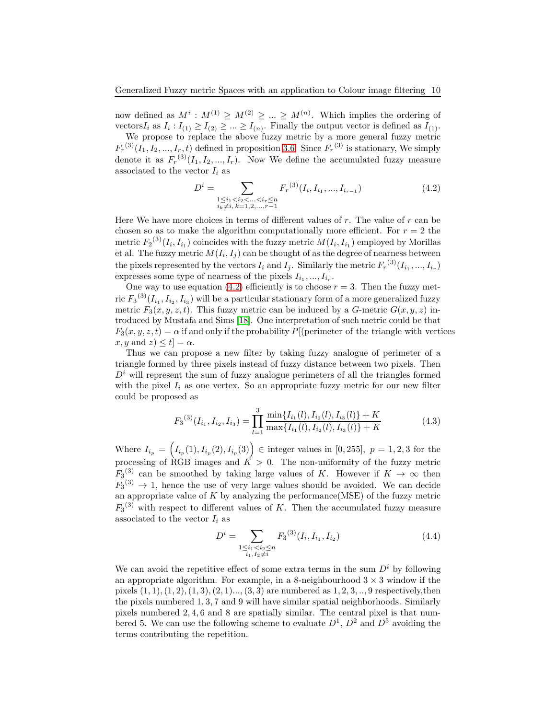now defined as  $M^i$ :  $M^{(1)} \ge M^{(2)} \ge ... \ge M^{(n)}$ . Which implies the ordering of vectors $I_i$  as  $I_i: I_{(1)} \geq I_{(2)} \geq \ldots \geq I_{(n)}$ . Finally the output vector is defined as  $I_{(1)}$ .

We propose to replace the above fuzzy metric by a more general fuzzy metric  $F_r^{(3)}(I_1, I_2, ..., I_r, t)$  defined in proposition [3.6.](#page-3-2) Since  $F_r^{(3)}$  is stationary, We simply denote it as  $F_r^{(3)}(I_1, I_2, ..., I_r)$ . Now We define the accumulated fuzzy measure associated to the vector  $I_i$  as

<span id="page-9-0"></span>
$$
D^{i} = \sum_{\substack{1 \le i_1 < i_2 < \ldots < i_r \le n \\ i_k \ne i, \, k = 1, 2, \ldots, r - 1}} F_r^{(3)}(I_i, I_{i_1}, \ldots, I_{i_{r-1}}) \tag{4.2}
$$

Here We have more choices in terms of different values of  $r$ . The value of  $r$  can be chosen so as to make the algorithm computationally more efficient. For  $r = 2$  the metric  $F_2^{(3)}(I_i, I_{i_1})$  coincides with the fuzzy metric  $M(I_i, I_{i_1})$  employed by Morillas et al. The fuzzy metric  $M(I_i, I_j)$  can be thought of as the degree of nearness between the pixels represented by the vectors  $I_i$  and  $I_j$ . Similarly the metric  $F_r^{(3)}(I_{i_1},...,I_{i_r})$ expresses some type of nearness of the pixels  $I_{i_1},...,I_{i_r}$ .

One way to use equation [\(4.2\)](#page-9-0) efficiently is to choose  $r = 3$ . Then the fuzzy metric  $F_3^{(3)}(I_{i_1}, I_{i_2}, I_{i_3})$  will be a particular stationary form of a more generalized fuzzy metric  $F_3(x, y, z, t)$ . This fuzzy metric can be induced by a G-metric  $G(x, y, z)$  introduced by Mustafa and Sims [\[18\]](#page-12-6). One interpretation of such metric could be that  $F_3(x, y, z, t) = \alpha$  if and only if the probability P[(perimeter of the triangle with vertices  $x, y \text{ and } z \leq t$  =  $\alpha$ .

Thus we can propose a new filter by taking fuzzy analogue of perimeter of a triangle formed by three pixels instead of fuzzy distance between two pixels. Then  $D<sup>i</sup>$  will represent the sum of fuzzy analogue perimeters of all the triangles formed with the pixel  $I_i$  as one vertex. So an appropriate fuzzy metric for our new filter could be proposed as

<span id="page-9-1"></span>
$$
F_3^{(3)}(I_{i_1}, I_{i_2}, I_{i_3}) = \prod_{l=1}^3 \frac{\min\{I_{i_1}(l), I_{i_2}(l), I_{i_3}(l)\} + K}{\max\{I_{i_1}(l), I_{i_2}(l), I_{i_3}(l)\} + K}
$$
(4.3)

Where  $I_{i_p} = (I_{i_p}(1), I_{i_p}(2), I_{i_p}(3)) \in \text{integer values in } [0, 255], p = 1, 2, 3 \text{ for the }$ processing of RGB images and  $\overrightarrow{K} > 0$ . The non-uniformity of the fuzzy metric  $F_3$ <sup>(3)</sup> can be smoothed by taking large values of K. However if  $K \to \infty$  then  $F_3^{(3)} \rightarrow 1$ , hence the use of very large values should be avoided. We can decide an appropriate value of  $K$  by analyzing the performance (MSE) of the fuzzy metric  $F_3$ <sup>(3)</sup> with respect to different values of K. Then the accumulated fuzzy measure associated to the vector  $I_i$  as

$$
D^{i} = \sum_{\substack{1 \le i_1 < i_2 \le n \\ i_1, I_2 \ne i}} F_3^{(3)}(I_i, I_{i_1}, I_{i_2}) \tag{4.4}
$$

We can avoid the repetitive effect of some extra terms in the sum  $D<sup>i</sup>$  by following an appropriate algorithm. For example, in a 8-neighbourhood  $3 \times 3$  window if the pixels  $(1, 1), (1, 2), (1, 3), (2, 1), \ldots, (3, 3)$  are numbered as  $1, 2, 3, \ldots, 9$  respectively, then the pixels numbered 1, 3, 7 and 9 will have similar spatial neighborhoods. Similarly pixels numbered 2, 4, 6 and 8 are spatially similar. The central pixel is that numbered 5. We can use the following scheme to evaluate  $D^1$ ,  $D^2$  and  $D^5$  avoiding the terms contributing the repetition.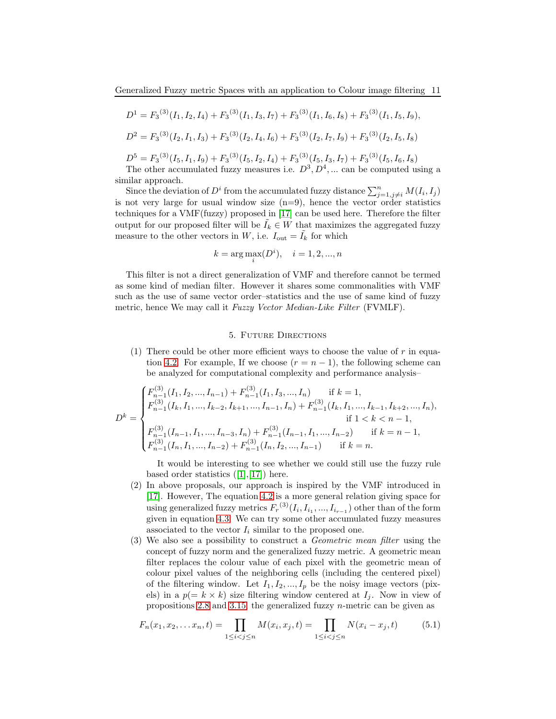$$
D1 = F3(3)(I1, I2, I4) + F3(3)(I1, I3, I7) + F3(3)(I1, I6, I8) + F3(3)(I1, I5, I9),\nD2 = F3(3)(I2, I1, I3) + F3(3)(I2, I4, I6) + F3(3)(I2, I7, I9) + F3(3)(I2, I5, I8)
$$

 $D^5 = F_3^{(3)}(I_5, I_1, I_9) + F_3^{(3)}(I_5, I_2, I_4) + F_3^{(3)}(I_5, I_3, I_7) + F_3^{(3)}(I_5, I_6, I_8)$ 

The other accumulated fuzzy measures i.e.  $D^3, D^4, \dots$  can be computed using a similar approach.

Since the deviation of  $D^i$  from the accumulated fuzzy distance  $\sum_{j=1,j\neq i}^n M(I_i,I_j)$ is not very large for usual window size  $(n=9)$ , hence the vector order statistics techniques for a VMF(fuzzy) proposed in [\[17\]](#page-11-8) can be used here. Therefore the filter output for our proposed filter will be  $\tilde{I}_k \in W$  that maximizes the aggregated fuzzy measure to the other vectors in  $W$ , i.e.  $I_{\text{out}} = \tilde{I}_k$  for which

$$
k = \arg \max_{i} (D^{i}), \quad i = 1, 2, ..., n
$$

This filter is not a direct generalization of VMF and therefore cannot be termed as some kind of median filter. However it shares some commonalities with VMF such as the use of same vector order–statistics and the use of same kind of fuzzy metric, hence We may call it Fuzzy Vector Median-Like Filter (FVMLF).

### 5. Future Directions

(1) There could be other more efficient ways to choose the value of  $r$  in equa-tion [4.2.](#page-9-0) For example, If we choose  $(r = n - 1)$ , the following scheme can be analyzed for computational complexity and performance analysis–

$$
D^{k} = \begin{cases} F_{n-1}^{(3)}(I_{1}, I_{2}, ..., I_{n-1}) + F_{n-1}^{(3)}(I_{1}, I_{3}, ..., I_{n}) & \text{if } k = 1, \\ F_{n-1}^{(3)}(I_{k}, I_{1}, ..., I_{k-2}, I_{k+1}, ..., I_{n-1}, I_{n}) + F_{n-1}^{(3)}(I_{k}, I_{1}, ..., I_{k-1}, I_{k+2}, ..., I_{n}), \\ \text{if } 1 < k < n-1, \\ F_{n-1}^{(3)}(I_{n-1}, I_{1}, ..., I_{n-3}, I_{n}) + F_{n-1}^{(3)}(I_{n-1}, I_{1}, ..., I_{n-2}) & \text{if } k = n-1, \\ F_{n-1}^{(3)}(I_{n}, I_{1}, ..., I_{n-2}) + F_{n-1}^{(3)}(I_{n}, I_{2}, ..., I_{n-1}) & \text{if } k = n. \end{cases}
$$

It would be interesting to see whether we could still use the fuzzy rule based order statistics  $([1],[17])$  $([1],[17])$  $([1],[17])$  $([1],[17])$  $([1],[17])$  here.

- (2) In above proposals, our approach is inspired by the VMF introduced in [\[17\]](#page-11-8). However, The equation [4.2](#page-9-0) is a more general relation giving space for using generalized fuzzy metrics  $F_r^{(3)}(I_i, I_{i_1},..., I_{i_{r-1}})$  other than of the form given in equation [4.3.](#page-9-1) We can try some other accumulated fuzzy measures associated to the vector  $I_i$  similar to the proposed one.
- (3) We also see a possibility to construct a Geometric mean filter using the concept of fuzzy norm and the generalized fuzzy metric. A geometric mean filter replaces the colour value of each pixel with the geometric mean of colour pixel values of the neighboring cells (including the centered pixel) of the filtering window. Let  $I_1, I_2, ..., I_p$  be the noisy image vectors (pixels) in a  $p(= k \times k)$  size filtering window centered at  $I_j$ . Now in view of propositions [2.8](#page-2-1) and [3.15,](#page-6-1) the generalized fuzzy  $n$ -metric can be given as

<span id="page-10-0"></span>
$$
F_n(x_1, x_2, \dots x_n, t) = \prod_{1 \le i < j \le n} M(x_i, x_j, t) = \prod_{1 \le i < j \le n} N(x_i - x_j, t) \tag{5.1}
$$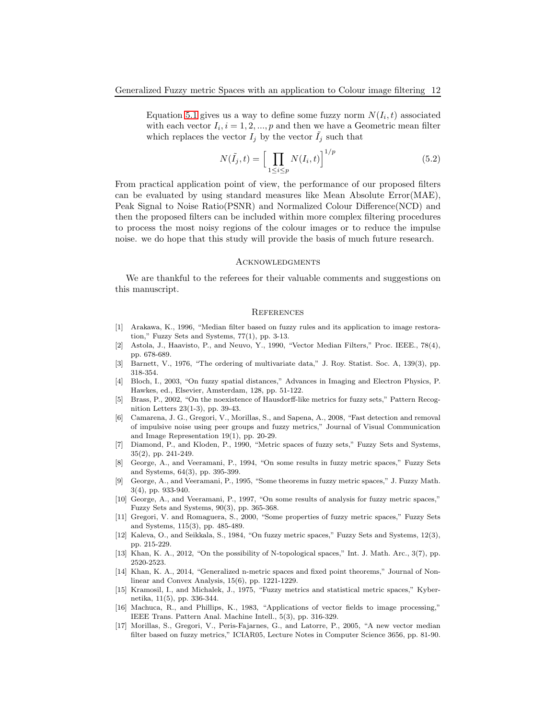Equation [5.1](#page-10-0) gives us a way to define some fuzzy norm  $N(I_i, t)$  associated with each vector  $I_i$ ,  $i = 1, 2, ..., p$  and then we have a Geometric mean filter which replaces the vector  $I_i$  by the vector  $I_i$  such that

$$
N(\tilde{I}_j, t) = \left[\prod_{1 \le i \le p} N(I_i, t)\right]^{1/p} \tag{5.2}
$$

From practical application point of view, the performance of our proposed filters can be evaluated by using standard measures like Mean Absolute Error(MAE), Peak Signal to Noise Ratio(PSNR) and Normalized Colour Difference(NCD) and then the proposed filters can be included within more complex filtering procedures to process the most noisy regions of the colour images or to reduce the impulse noise. we do hope that this study will provide the basis of much future research.

#### **ACKNOWLEDGMENTS**

We are thankful to the referees for their valuable comments and suggestions on this manuscript.

#### **REFERENCES**

- <span id="page-11-15"></span>[1] Arakawa, K., 1996, "Median filter based on fuzzy rules and its application to image restoration," Fuzzy Sets and Systems, 77(1), pp. 3-13.
- <span id="page-11-11"></span>[2] Astola, J., Haavisto, P., and Neuvo, Y., 1990, "Vector Median Filters," Proc. IEEE., 78(4), pp. 678-689.
- <span id="page-11-13"></span>[3] Barnett, V., 1976, "The ordering of multivariate data," J. Roy. Statist. Soc. A, 139(3), pp. 318-354.
- <span id="page-11-16"></span>[4] Bloch, I., 2003, "On fuzzy spatial distances," Advances in Imaging and Electron Physics, P. Hawkes, ed., Elsevier, Amsterdam, 128, pp. 51-122.
- <span id="page-11-3"></span>[5] Brass, P., 2002, "On the noexistence of Hausdorff-like metrics for fuzzy sets," Pattern Recognition Letters 23(1-3), pp. 39-43.
- <span id="page-11-14"></span>[6] Camarena, J. G., Gregori, V., Morillas, S., and Sapena, A., 2008, "Fast detection and removal of impulsive noise using peer groups and fuzzy metrics," Journal of Visual Communication and Image Representation 19(1), pp. 20-29.
- <span id="page-11-4"></span>[7] Diamond, P., and Kloden, P., 1990, "Metric spaces of fuzzy sets," Fuzzy Sets and Systems, 35(2), pp. 241-249.
- <span id="page-11-0"></span>[8] George, A., and Veeramani, P., 1994, "On some results in fuzzy metric spaces," Fuzzy Sets and Systems, 64(3), pp. 395-399.
- <span id="page-11-6"></span>[9] George, A., and Veeramani, P., 1995, "Some theorems in fuzzy metric spaces," J. Fuzzy Math. 3(4), pp. 933-940.
- <span id="page-11-7"></span>[10] George, A., and Veeramani, P., 1997, "On some results of analysis for fuzzy metric spaces," Fuzzy Sets and Systems, 90(3), pp. 365-368.
- <span id="page-11-1"></span>[11] Gregori, V. and Romaguera, S., 2000, "Some properties of fuzzy metric spaces," Fuzzy Sets and Systems, 115(3), pp. 485-489.
- <span id="page-11-2"></span>[12] Kaleva, O., and Seikkala, S., 1984, "On fuzzy metric spaces," Fuzzy Sets and Systems, 12(3), pp. 215-229.
- <span id="page-11-9"></span>[13] Khan, K. A., 2012, "On the possibility of N-topological spaces," Int. J. Math. Arc., 3(7), pp. 2520-2523.
- <span id="page-11-10"></span>[14] Khan, K. A., 2014, "Generalized n-metric spaces and fixed point theorems," Journal of Nonlinear and Convex Analysis, 15(6), pp. 1221-1229.
- <span id="page-11-5"></span>[15] Kramosil, I., and Michalek, J., 1975, "Fuzzy metrics and statistical metric spaces," Kybernetika, 11(5), pp. 336-344.
- <span id="page-11-12"></span>[16] Machuca, R., and Phillips, K., 1983, "Applications of vector fields to image processing," IEEE Trans. Pattern Anal. Machine Intell., 5(3), pp. 316-329.
- <span id="page-11-8"></span>[17] Morillas, S., Gregori, V., Peris-Fajarnes, G., and Latorre, P., 2005, "A new vector median filter based on fuzzy metrics," ICIAR05, Lecture Notes in Computer Science 3656, pp. 81-90.